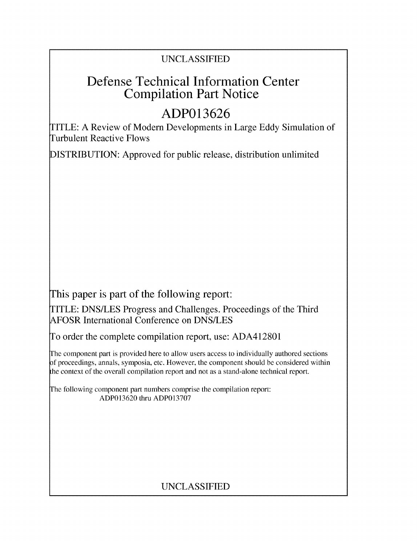# **UNCLASSIFIED**

# Defense Technical Information Center Compilation Part Notice

# **ADP013626**

TITLE: **A** Review of Modem Developments in Large **Eddy** Simulation of Turbulent Reactive Flows

**DISTRIBUTION:** Approved for public release, distribution unlimited

This paper is part of the following report:

TITLE: **DNS/LES** Progress and Challenges. Proceedings of the Third AFOSR International Conference on **DNS/LES**

To order the complete compilation report, use: **ADA412801**

The component part is provided here to allow users access to individually authored sections **A** proceedings, annals, symposia, etc. However, the component should be considered within the context of the overall compilation report and not as a stand-alone technical report.

The following component part numbers comprise the compilation report: **ADP013620** thru **ADP013707**

# **UNCLASSIFIED**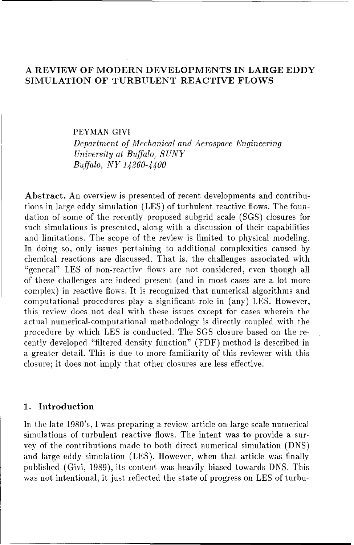# **A** REVIEW OF MODERN **DEVELOPMENTS** IN LARGE EDDY SIMULATION OF **TURBULENT** REACTIVE FLOWS

# PEYMAN **GIVI** *Department of Mechanical and Aerospace Engineering University at Buffalo, SUNY Buffalo, NY 14260-4400*

Abstract. An overview is presented of recent developments and contributions in large eddy simulation (LES) of turbulent reactive flows. The foundation of some of the recently proposed subgrid scale (SGS) closures for such simulations is presented, along with a discussion of their capabilities and limitations. The scope of the review is limited to physical modeling. In doing so, only issues pertaining to additional complexities caused by chemical reactions are discussed. That is, the challenges associated with "general" **LES** of non-reactive flows are not considered, even though all of these challenges are indeed present (and in most cases are a lot more complex) in reactive flows. It is recognized that numerical algorithms and computational procedures play a significant role in (any) LES. However, this review does not deal with these issues except for cases wherein the actual numerical-computational methodology is directly coupled with the procedure by which **LES** is conducted. The SGS closure based on the recently developed "filtered density function" (FDF) method is described in a greater detail. This is due to more familiarity of this reviewer with this closure; it does not imply that other closures are less effective.

# 1. Introduction

In the late 1980's, I was preparing a review article on large scale numerical simulations of turbulent reactive flows. The intent was to provide a survey of the contributions made to both direct numerical simulation (DNS) and large eddy simulation (LES). However, when that article was finally published (Givi, 1989), its content was heavily biased towards DNS. This was not intentional, it just reflected the state of progress on **LES** of turbu-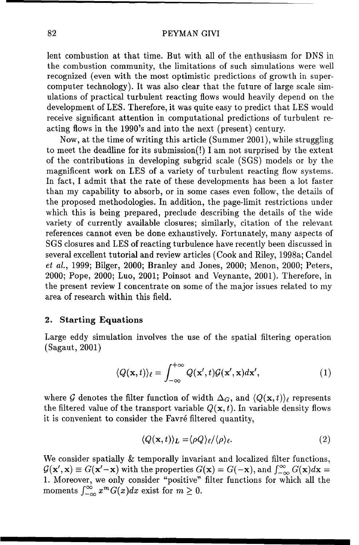lent combustion at that time. But with all of the enthusiasm for **DNS** in the combustion community, the limitations of such simulations were well recognized (even with the most optimistic predictions of growth in supercomputer technology). It was also clear that the future of large scale **sim**ulations of practical turbulent reacting flows would heavily depend on the development of **LES.** Therefore, it was quite easy to predict that **LES** would receive significant attention in computational predictions of turbulent reacting flows in the 1990's and into the next (present) century.

Now, at the time of writing this article (Summer 2001), while struggling to meet the deadline for its submission(!) **I** am not surprised **by** the extent of the contributions in developing subgrid scale **(SGS)** models or **by** the magnificent work on **LES** of a variety of turbulent reacting flow systems. In fact, **I** admit that the rate of these developments has been a lot faster than my capability to absorb, or in some cases even follow, the details of the proposed methodologies. In addition, the page-limit restrictions under which this is being prepared, preclude describing the details of the wide variety of currently available closures; similarly, citation of the relevant references cannot even be done exhaustively. Fortunately, many aspects of **SGS** closures and **LES** of reacting turbulence have recently been discussed in several excellent tutorial and review articles (Cook and Riley, 1998a; Candel *et* al., 1999; Bilger, 2000; Branley and Jones, 2000; Menon, 2000; Peters, 2000; Pope, 2000; Luo, 2001; Poinsot and Veynante, 2001). Therefore, in the present review I concentrate on some of the major issues related to my area of research within this field.

## 2. Starting Equations

Large eddy simulation involves the use of the spatial filtering operation (Sagaut, 2001) **/+0**

$$
\langle Q(\mathbf{x},t)\rangle_{\ell} = \int_{-\infty}^{+\infty} Q(\mathbf{x}',t) \mathcal{G}(\mathbf{x}',\mathbf{x}) d\mathbf{x}',\tag{1}
$$

where G denotes the filter function of width  $\Delta_G$ , and  $\langle Q(\mathbf{x},t) \rangle_{\ell}$  represents the filtered value of the transport variable  $Q(\mathbf{x}, t)$ . In variable density flows it is convenient to consider the Favré filtered quantity,

$$
\langle Q(\mathbf{x},t) \rangle_L = \langle \rho Q \rangle_\ell / \langle \rho \rangle_\ell. \tag{2}
$$

We consider spatially **&** temporally invariant and localized filter functions,  $\mathcal{G}(\mathbf{x}', \mathbf{x}) \equiv G(\mathbf{x}' - \mathbf{x})$  with the properties  $G(\mathbf{x}) = G(-\mathbf{x})$ , and  $\int_{-\infty}^{\infty} G(\mathbf{x}) d\mathbf{x} =$ **1.** Moreover, we only consider "positive" filter functions for which all the moments  $\int_{-\infty}^{\infty} x^m G(x) dx$  exist for  $m \geq 0$ .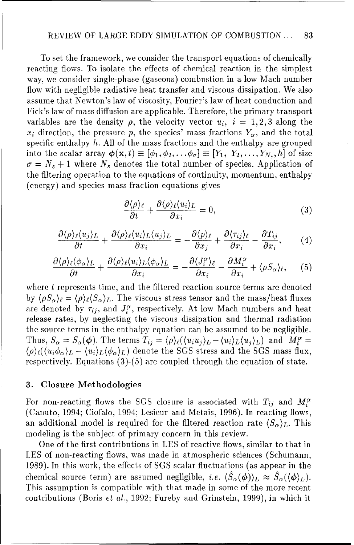To set the framework, we consider the transport equations of chemically reacting flows. To isolate the effects of chemical reaction in the simplest way, we consider single-phase (gaseous) combustion in a low Mach number flow with negligible radiative heat transfer and viscous dissipation. We also assume that Newton's law of viscosity, Fourier's law of heat conduction and Fick's law of mass diffusion are applicable. Therefore, the primary transport variables are the density  $\rho$ , the velocity vector  $u_i$ ,  $i = 1, 2, 3$  along the  $x_i$  direction, the pressure p, the species' mass fractions  $Y_\alpha$ , and the total specific enthalpy  $h$ . All of the mass fractions and the enthalpy are grouped into the scalar array  $\phi(\mathbf{x}, t) \equiv [\phi_1, \phi_2, \dots, \phi_\sigma] \equiv [Y_1, Y_2, \dots, Y_{N_s}, h]$  of size  $\sigma = N_s + 1$  where  $N_s$  denotes the total number of species. Application of the filtering operation to the equations of continuity, momentum, enthalpy (energy) and species mass fraction equations gives

$$
\frac{\partial \langle \rho \rangle_{\ell}}{\partial t} + \frac{\partial \langle \rho \rangle_{\ell} \langle u_i \rangle_{L}}{\partial x_i} = 0, \tag{3}
$$

$$
\frac{\partial \langle \rho \rangle_{\ell} \langle u_j \rangle_{L}}{\partial t} + \frac{\partial \langle \rho \rangle_{\ell} \langle u_i \rangle_{L} \langle u_j \rangle_{L}}{\partial x_i} = -\frac{\partial \langle p \rangle_{\ell}}{\partial x_j} + \frac{\partial \langle \tau_{ij} \rangle_{\ell}}{\partial x_i} - \frac{\partial T_{ij}}{\partial x_i}, \qquad (4)
$$

$$
\frac{\partial \langle \rho \rangle_{\ell} \langle \phi_{\alpha} \rangle_{L}}{\partial t} + \frac{\partial \langle \rho \rangle_{\ell} \langle u_{i} \rangle_{L} \langle \phi_{\alpha} \rangle_{L}}{\partial x_{i}} = -\frac{\partial \langle J_{i}^{\alpha} \rangle_{\ell}}{\partial x_{i}} - \frac{\partial M_{i}^{\alpha}}{\partial x_{i}} + \langle \rho S_{\alpha} \rangle_{\ell}, \quad (5)
$$

where t represents time, and the filtered reaction source terms are denoted by  $\langle \rho S_{\alpha} \rangle_{\ell} = \langle \rho \rangle_{\ell} \langle S_{\alpha} \rangle_{L}$ . The viscous stress tensor and the mass/heat fluxes are denoted by  $\tau_{ij}$ , and  $J_i^{\alpha}$ , respectively. At low Mach numbers and heat release rates, by neglecting the viscous dissipation and thermal radiation the source terms in the enthalpy equation can be assumed to be negligible. Thus,  $S_{\alpha} = S_{\alpha}(\phi)$ . The terms  $T_{ij} = \langle \rho \rangle_{\ell} (\langle u_i u_j \rangle_L - \langle u_i \rangle_L \langle u_j \rangle_L)$  and  $M_i^{\alpha} =$  $\langle \rho \rangle_{\ell} (\langle u_i \phi_\alpha \rangle_L - \langle u_i \rangle_L \langle \phi_\alpha \rangle_L)$  denote the SGS stress and the SGS mass flux, respectively. Equations (3)-(5) are coupled through the equation of state.

# **3.** Closure Methodologies

For non-reacting flows the SGS closure is associated with  $T_{ij}$  and  $M_i^{\alpha}$ (Canuto, 1994; Ciofalo, 1994; Lesieur and Metais, 1996). In reacting flows, an additional model is required for the filtered reaction rate  $(S_{\alpha})_L$ . This modeling is the subject of primary concern in this review.

One of the first contributions in **LES** of reactive flows, similar to that in LES of non-reacting flows, was made in atmospheric sciences (Schumann, 1989). In this work, the effects of SGS scalar fluctuations (as appear in the chemical source term) are assumed negligible, *i.e.*  $\langle \hat{S}_{\alpha}(\phi) \rangle_L \approx \hat{S}_{\alpha}(\langle \phi \rangle_L)$ . This assumption is compatible with that made in some of the more recent contributions (Boris *et al.,* 1992; Fureby and Grinstein, 1999), in which it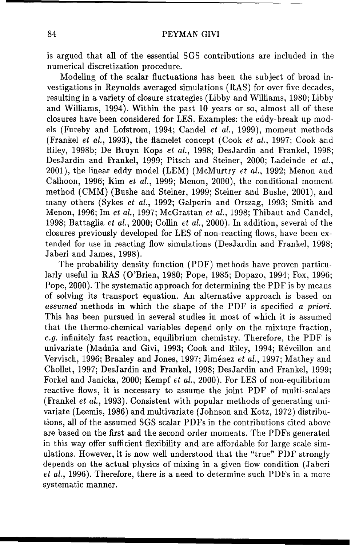is argued that all of the essential SGS contributions are included in the numerical discretization procedure.

Modeling of the scalar fluctuations has been the subject of broad investigations in Reynolds averaged simulations (RAS) for over five decades, resulting in a variety of closure strategies (Libby and Williams, 1980; Libby and Williams, 1994). Within the past 10 years or so, almost all of these closures have been considered for LES. Examples: the eddy-break up models (Fureby and Lofstrom, 1994; Candel et al., 1999), moment methods (Frankel et al., 1993), the flamelet concept (Cook et al., 1997; Cook and Riley, 1998b; De Bruyn Kops *et al.,* 1998; DesJardin and Frankel, 1998; DesJardin and Frankel, 1999; Pitsch and Steiner, 2000; Ladeinde et al., 2001), the linear eddy model (LEM) (McMurtry et al., 1992; Menon and Calhoon, 1996; Kim et al., 1999; Menon, 2000), the conditional moment method (CMM) (Bushe and Steiner, 1999; Steiner and Bushe, 2001), and many others (Sykes *et al.*, 1992; Galperin and Orszag, 1993; Smith and Menon, 1996; Im et al., 1997; McGrattan et al., 1998; Thibaut and Candel, 1998; Battaglia et al., 2000; Collin et al., 2000). In addition, several of the closures previously developed for LES of non-reacting flows, have been extended for use in reacting flow simulations (DesJardin and Frankel, 1998; Jaberi and James, 1998).

The probability density function (PDF) methods have proven particularly useful in RAS (O'Brien, 1980; Pope, 1985; Dopazo, 1994; Fox, 1996; Pope, 2000). The systematic approach for determining the PDF is by means of solving its transport equation. An alternative approach is based on assumed methods in which the shape of the PDF is specified a *priori.* This has been pursued in several studies in most of which it is assumed that the thermo-chemical variables depend only on the mixture fraction, e.g. infinitely fast reaction, equilibrium chemistry. Therefore, the PDF is univariate (Madnia and Givi, 1993; Cook and Riley, 1994; Réveillon and Vervisch, 1996; Branley and Jones, 1997; Jim6nez et al., 1997; Mathey and Chollet, 1997; DesJardin and Frankel, 1998; DesJardin and Frankel, 1999; Forkel and Janicka, 2000; Kempf et al., 2000). For LES of non-equilibrium reactive flows, it is necessary to assume the joint PDF of multi-scalars (Frankel et al., 1993). Consistent with popular methods of generating univariate (Leemis, 1986) and multivariate (Johnson and Kotz, 1972) distributions, all of the assumed SGS scalar PDFs in the contributions cited above are based on the first and the second order moments. The PDFs generated in this way offer sufficient flexibility and are affordable for large scale simulations. However, it is now well understood that the "true" PDF strongly depends on the actual physics of mixing in a given flow condition (Jaberi *et* al., 1996). Therefore, there is a need to determine such PDFs in a more systematic manner.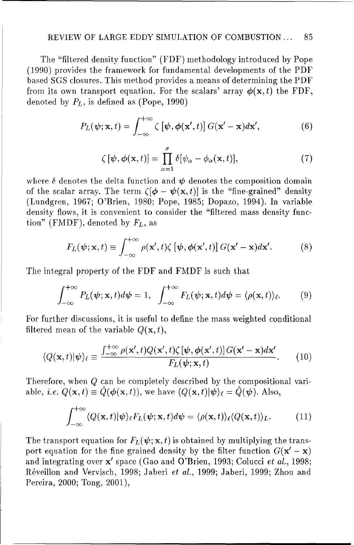#### REVIEW OF LARGE EDDY SIMULATION OF COMBUSTION ... 85

The "filtered density function" (FDF) methodology introduced by Pope (1990) provides the framework for fundamental developments of the PDF based SGS closures. This method provides a means of determining the PDF from its own transport equation. For the scalars' array  $\phi(\mathbf{x}, t)$  the FDF, denoted by  $P_L$ , is defined as (Pope, 1990)

$$
P_L(\boldsymbol{\psi}; \mathbf{x}, t) = \int_{-\infty}^{+\infty} \zeta \left[ \boldsymbol{\psi}, \boldsymbol{\phi}(\mathbf{x}', t) \right] G(\mathbf{x}' - \mathbf{x}) d\mathbf{x}',\tag{6}
$$

$$
\zeta[\psi,\phi(\mathbf{x},t)] = \prod_{\alpha=1}^{\sigma} \delta[\psi_{\alpha} - \phi_{\alpha}(\mathbf{x},t)],\tag{7}
$$

where  $\delta$  denotes the delta function and  $\psi$  denotes the composition domain of the scalar array. The term  $(\phi - \psi(\mathbf{x}, t))$  is the "fine-grained" density (Lundgren, 1967; O'Brien, 1980; Pope, 1985; Dopazo, 1994). In variable density flows, it is convenient to consider the "filtered mass density function" (FMDF), denoted by  $F_L$ , as

$$
F_L(\boldsymbol{\psi}; \mathbf{x}, t) \equiv \int_{-\infty}^{+\infty} \rho(\mathbf{x}', t) \zeta [\boldsymbol{\psi}, \boldsymbol{\phi}(\mathbf{x}', t)] G(\mathbf{x}' - \mathbf{x}) d\mathbf{x}'. \tag{8}
$$

The integral property of the FDF and FMDF is such that

$$
\int_{-\infty}^{+\infty} P_L(\boldsymbol{\psi}; \mathbf{x}, t) d\boldsymbol{\psi} = 1, \quad \int_{-\infty}^{+\infty} F_L(\boldsymbol{\psi}; \mathbf{x}, t) d\boldsymbol{\psi} = \langle \rho(\mathbf{x}, t) \rangle_{\ell}.
$$
 (9)

For further discussions, it is useful to define the mass weighted conditional filtered mean of the variable  $Q(\mathbf{x}, t)$ ,

$$
\langle Q(\mathbf{x},t)|\psi\rangle_{\ell} \equiv \frac{\int_{-\infty}^{+\infty} \rho(\mathbf{x}',t)Q(\mathbf{x}',t)\zeta[\psi,\phi(\mathbf{x}',t)]G(\mathbf{x}'-\mathbf{x})d\mathbf{x}'}{F_L(\psi;\mathbf{x},t)}.\tag{10}
$$

Therefore, when Q can be completely described by the compositional variable, *i.e.*  $Q(\mathbf{x},t) \equiv \hat{Q}(\phi(\mathbf{x},t))$ , we have  $\langle Q(\mathbf{x},t)|\psi\rangle_f = \hat{Q}(\psi)$ . Also,

$$
\int_{-\infty}^{+\infty} \langle Q(\mathbf{x},t)|\psi\rangle_{\ell} F_L(\psi;\mathbf{x},t) d\psi = \langle \rho(\mathbf{x},t) \rangle_{\ell} \langle Q(\mathbf{x},t) \rangle_L.
$$
 (11)

The transport equation for  $F_L(\psi; \mathbf{x}, t)$  is obtained by multiplying the transport equation for the fine grained density by the filter function  $G(\mathbf{x}' - \mathbf{x})$ and integrating over x' space (Gao and O'Brien, 1993; Colucci *et al.,* 1998; R6veillon and Vervisch, 1998; Jaberi *et al.,* 1999; Jaberi, 1999; Zhou and Pereira, 2000; Tong, 2001),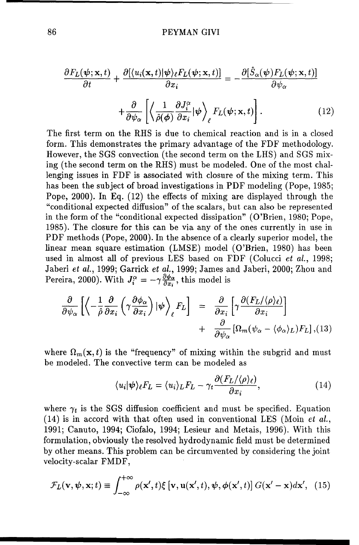$$
\frac{\partial F_L(\psi; \mathbf{x}, t)}{\partial t} + \frac{\partial [\langle u_i(\mathbf{x}, t) | \psi \rangle_\ell F_L(\psi; \mathbf{x}, t)]}{\partial x_i} = -\frac{\partial [\hat{S}_\alpha(\psi) F_L(\psi; \mathbf{x}, t)]}{\partial \psi_\alpha} + \frac{\partial}{\partial \psi_\alpha} \left[ \left\langle \frac{1}{\hat{\rho}(\phi)} \frac{\partial J_i^\alpha}{\partial x_i} | \psi \right\rangle_\ell F_L(\psi; \mathbf{x}, t) \right]. \tag{12}
$$

The first term on the RHS is due to chemical reaction and is in a closed form. This demonstrates the primary advantage of the FDF methodology. However, the SGS convection (the second term on the LHS) and SGS mixing (the second term on the RHS) must be modeled. One of the most challenging issues in FDF is associated with closure of the mixing term. This has been the subject of broad investigations in PDF modeling (Pope, 1985; Pope, 2000). In Eq. (12) the effects of mixing are displayed through the "conditional expected diffusion" of the scalars, but can also be represented in the form of the "conditional expected dissipation" (O'Brien, 1980; Pope, 1985). The closure for this can be via any of the ones currently in use in PDF methods (Pope, 2000). In the absence of a clearly superior model, the linear mean square estimation (LMSE) model (O'Brien, 1980) has been used in almost all of previous LES based on FDF (Colucci *et al.*, 1998; Jaberi et al., 1999; Garrick et al., 1999; James and Jaberi, 2000; Zhou and Pereira, 2000). With  $J_i^{\alpha} = -\gamma \frac{\partial \phi_{\alpha}}{\partial x_i}$ , this model is

$$
\frac{\partial}{\partial \psi_{\alpha}} \left[ \left\langle -\frac{1}{\hat{\rho}} \frac{\partial}{\partial x_{i}} \left( \gamma \frac{\partial \phi_{\alpha}}{\partial x_{i}} \right) | \psi \right\rangle_{\ell} F_{L} \right] = \frac{\partial}{\partial x_{i}} \left[ \gamma \frac{\partial (F_{L}/\langle \rho \rangle_{\ell})}{\partial x_{i}} \right] + \frac{\partial}{\partial \psi_{\alpha}} \left[ \Omega_{m} (\psi_{\alpha} - \langle \phi_{\alpha} \rangle_{L}) F_{L} \right], (13)
$$

where  $\Omega_m(\mathbf{x},t)$  is the "frequency" of mixing within the subgrid and must be modeled. The convective term can be modeled as

$$
\langle u_i | \psi \rangle_{\ell} F_L = \langle u_i \rangle_L F_L - \gamma_t \frac{\partial (F_L / \langle \rho \rangle_{\ell})}{\partial x_i}, \tag{14}
$$

where  $\gamma_t$  is the SGS diffusion coefficient and must be specified. Equation (14) is in accord with that often used in conventional LES (Moin et *al.,* 1991; Canuto, 1994; Ciofalo, 1994; Lesieur and Metais, 1996). With this formulation, obviously the resolved hydrodynamic field must be determined by other means. This problem can be circumvented by considering the joint velocity-scalar FMDF,

$$
\mathcal{F}_L(\mathbf{v}, \boldsymbol{\psi}, \mathbf{x}; t) \equiv \int_{-\infty}^{+\infty} \rho(\mathbf{x}', t) \xi \left[ \mathbf{v}, \mathbf{u}(\mathbf{x}', t), \boldsymbol{\psi}, \boldsymbol{\phi}(\mathbf{x}', t) \right] G(\mathbf{x}' - \mathbf{x}) d\mathbf{x}', \tag{15}
$$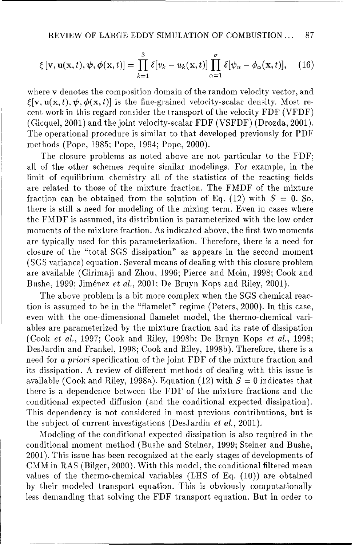$$
\xi[\mathbf{v}, \mathbf{u}(\mathbf{x}, t), \boldsymbol{\psi}, \boldsymbol{\phi}(\mathbf{x}, t)] = \prod_{k=1}^{3} \delta[v_k - u_k(\mathbf{x}, t)] \prod_{\alpha=1}^{\sigma} \delta[\psi_\alpha - \phi_\alpha(\mathbf{x}, t)], \quad (16)
$$

where **v** denotes the composition domain of the random velocity vector, and  $\mathcal{E}[\mathbf{v}, \mathbf{u}(\mathbf{x}, t), \boldsymbol{\psi}, \boldsymbol{\phi}(\mathbf{x}, t)]$  is the fine-grained velocity-scalar density. Most recent work in this regard consider the transport of the velocity FDF (VFDF) (Gicquel, 2001) and the joint velocity-scalar FDF (VSFDF) (Drozda, 2001). The operational procedure is similar to that developed previously for PDF methods (Pope, 1985; Pope, 1994; Pope, 2000).

The closure problems as noted above are not particular to the FDF; all of the other schemes require similar modelings. For example, in the limit of equilibrium chemistry all of the statistics of the reacting fields are related to those of the mixture fraction. The FMDF of the mixture fraction can be obtained from the solution of Eq. (12) with  $S = 0$ . So, there is still a need for modeling of the mixing term. Even in cases where the FMDF is assumed, its distribution is parameterized with the low order moments of the mixture fraction. As indicated above, the first two moments are typically used for this parameterization. Therefore, there is a need for closure of the "total SGS dissipation" as appears in the second moment (SGS variance) equation. Several means of dealing with this closure problem are available (Girimaji and Zhou, 1996; Pierce and Moin, 1998; Cook and Bushe, 1999; Jim6nez *et al.,* 2001; De Bruyn Kops and Riley, 2001).

The above problem is a bit more complex when the **SGS** chemical reaction is assumed to be in the "flamelet" regime (Peters, 2000). In this case, even with the one-dimensional flamelet model, the thermo-chemical variables are parameterized by the mixture fraction and its rate of dissipation (Cook et al., 1997; Cook and Riley, 1998b; De Bruyn Kops *et al.,* 1998; DesJardin and Frankel, 1998; Cook and Riley, 1998b). Therefore, there is a need for a priori specification of the joint FDF of the mixture fraction and its dissipation. A review of different methods of dealing with this issue is available (Cook and Riley, 1998a). Equation (12) with  $S = 0$  indicates that there is a dependence between the FDF of the mixture fractions and the conditional expected diffusion (and the conditional expected dissipation). This dependency is not considered in most previous contributions, but is the subject of current investigations (DesJardin *et al.,* 2001).

Modeling of the conditional expected dissipation is also required in the conditional moment method (Bushe and Steiner, 1999; Steiner and Bushe, 2001). This issue has been recognized at the early stages of developments of CMM in RAS (Bilger, 2000). With this model, the conditional filtered mean values of the thermo-chemical variables (LHS of Eq. (10)) are obtained by their modeled transport equation. This is obviously computationally less demanding that solving the FDF transport equation. But in order to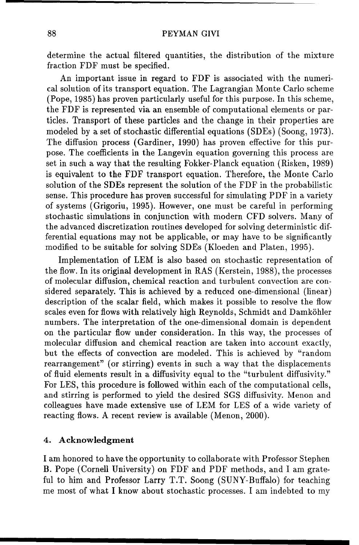determine the actual filtered quantities, the distribution of the mixture fraction FDF must be specified.

An important issue in regard to FDF is associated with the numerical solution of its transport equation. The Lagrangian Monte Carlo scheme (Pope, 1985) has proven particularly useful for this purpose. In this scheme, the FDF is represented via an ensemble of computational elements or particles. Transport of these particles and the change in their properties are modeled by a set of stochastic differential equations (SDEs) (Soong, 1973). The diffusion process (Gardiner, 1990) has proven effective for this purpose. The coefficients in the Langevin equation governing this process are set in such a way that the resulting Fokker-Planck equation (Risken, 1989) is equivalent to the FDF transport equation. Therefore, the Monte Carlo solution of the SDEs represent the solution of the FDF in the probabilistic sense. This procedure has proven successful for simulating PDF in a variety of systems (Grigoriu, 1995). However, one must be careful in performing stochastic simulations in conjunction with modern CFD solvers. Many of the advanced discretization routines developed for solving deterministic differential equations may not be applicable, or may have to be significantly modified to be suitable for solving SDEs (Kloeden and Platen, 1995).

Implementation of LEM is also based on stochastic representation of the flow. In its original development in RAS (Kerstein, 1988), the processes of molecular diffusion, chemical reaction and turbulent convection are considered separately. This is achieved by a reduced one-dimensional (linear) description of the scalar field, which makes it possible to resolve the flow scales even for flows with relatively high Reynolds, Schmidt and Damköhler numbers. The interpretation of the one-dimensional domain is dependent on the particular flow under consideration. In this way, the processes of molecular diffusion and chemical reaction are taken into account exactly, but the effects of convection are modeled. This is achieved by "random rearrangement" (or stirring) events in such a way that the displacements of fluid elements result in a diffusivity equal to the "turbulent diffusivity." For LES, this procedure is followed within each of the computational cells, and stirring is performed to yield the desired SGS diffusivity. Menon and colleagues have made extensive use of LEM for LES of a wide variety of reacting flows. A recent review is available (Menon, 2000).

## 4. Acknowledgment

I am honored to have the opportunity to collaborate with Professor Stephen B. Pope (Cornell University) on FDF and PDF methods, and I am grateful to him and Professor Larry T.T. Soong (SUNY-Buffalo) for teaching me most of what I know about stochastic processes. I am indebted to my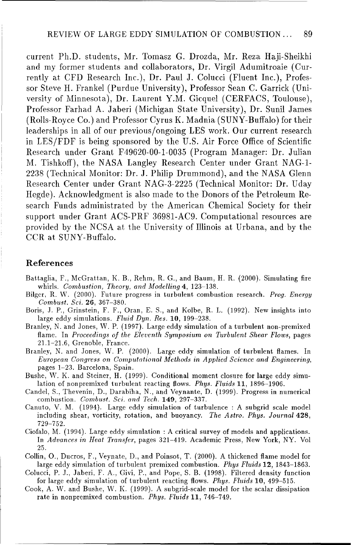#### REVIEW OF LARGE EDDY SIMULATION OF COMBUSTION ... 89

current Ph.D. students, Mr. Tomasz G. Drozda, Mr. Reza Haji-Sheikhi and my former students and collaborators, Dr. Virgil Adumitroaie (Currently at CFD Research Inc.), Dr. Paul J. Colucci (Fluent Inc.), Professor Steve H. Frankel (Purdue University), Professor Sean C. Garrick (University of Minnesota), Dr. Laurent Y.M. Gicquel (CERFACS, Toulouse), Professor Farhad A. Jaberi (Michigan State University), Dr. Sunil James (Rolls-Royce Co.) and Professor Cyrus K. Madnia (SUNY-Buffalo) for their leaderships in all of our previous/ongoing LES work. Our current research in LES/FDF is being sponsored by the U.S. Air Force Office of Scientific Research under Grant F49620-00-1-0035 (Program Manager: Dr. Julian M. Tishkoff), the NASA Langley Research Center under Grant NAG-i-2238 (Technical Monitor: Dr. J. Philip Drummond), and the NASA Glenn Research Center under Grant NAG-3-2225 (Technical Monitor: Dr. Uday Hegde). Acknowledgment is also made to the Donors of the Petroleum Research Funds administrated by the American Chemical Society for their support under Grant ACS-PRF 36981-AC9. Computational resources are provided by the NCSA at the University of Illinois at Urbana, and by the CCR at SUNY-Buffalo.

### References

- Battaglia, F., McGrattan, K. B., Rehm, R. **G.,** and Baum, H. R. (2000). Simulating fire whirls. *Combustion, Theory, and Modelling* 4, 123-138.
- Bilger, R. W. (2000). Future progress in turbulent combustion research. *Prog. Energy Combust. Sci.* **26,** 367-380.
- Boris, J. P., Grinstein, F. F., Oran, **E.** S., and Kolbe, R. L. (1992). New insights into large eddy simulations. *Fluid Dyn. Res.* 10, 199-238.
- Branley, N. and Jones, W. P. (1997). Large eddy simulation of a turbulent non-premixed flame. In *Proceedings of the Eleventh Symposium on Turbulent Shear Flows*, pages 21.1-21.6, Grenoble, France.
- Branley, N. and Jones, W. P. (2000). Large eddy simulation of turbulent flames. In *European Congress on Computational Methods in Applied* Science *and Engineering,* pages 1-23. Barcelona, Spain.
- Bushe, **W.** K. and Steiner, H. (1999). Conditional moment closure for large eddy simulation of nonpremixed turbulent reacting flows. *Phys. Fluids* 11, 1896-1906.
- Candel, S., Thevenin, D., Darabiha, N., and Veynante, D. (1999). Progress in numerical combustion. *Combust.* Sci. *and Tech.* 149, 297-337.
- Canuto, V. M. (1994). Large eddy simulation of turbulence **:** A subgrid scale model including shear, vorticity, rotation, and buoyancy. *The Astro. Phys. Journal* 428, 729-752.
- Ciofalo, M. (1994). Large eddy simulation **:** A critical survey of models and applications. In *Advances in Heat Transfer,* pages 321-419. Academic Press, New York, NY. Vol 25.
- Collin, **0.,** Ducros, F., Veynate, D., and Poinsot, T. (2000). A thickened flame model for large eddy simulation of turbulent premixed combustion. *Phys Fluids* 12, 1843-1863.
- Colucci, P. J., Jaberi, F. A., Givi, P., and Pope, S. B. (1998). Filtered density function for large eddy simulation of turbulent reacting flows. *Phys. Fluids* 10, 499-515.
- Cook, A. W. and Bushe, W. K. (1999). A subgrid-scale model for the scalar dissipation rate in nonpremixed combustion. *Phys. Fluids* 11, 746-749.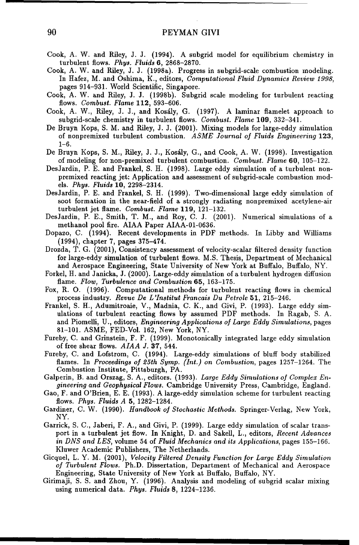- Cook, A. W. and Riley, J. J. (1994). A subgrid model for equilibrium chemistry in turbulent flows. *Phys. Fluids* 6, 2868-2870.
- Cook, A. W. and Riley, J. **J.** (1998a). Progress in subgrid-scale combustion modeling. In Hafez, M. and Oshima, K., editors, *Computational Fluid Dynamics Review 1998,* pages 914-931. World Scientific, Singapore.
- Cook, A. W. and Riley, J. J. (1998b). Subgrid scale modeling for turbulent reacting flows. Combust. Flame 112, 593-606.
- Cook, A. W., Riley, **J.** J., and Kosily, G. (1997). A laminar flamelet approach to subgrid-scale chemistry in turbulent flows. *Combust.* Flame **109,** 332-341.
- De Bruyn Kops, S. M. and Riley, J. **J.** (2001). Mixing models for large-eddy simulation of nonpremixed turbulent combustion. ASME *Journal of Fluids Engineering* 123, 1-6.
- De Bruyn Kops, S. M., Riley, J. J., Kosily, G., and Cook, A. W. (1998). Investigation of modeling for non-premixed turbulent combustion. Combust. Flame 60, 105-122.
- DesJardin, P. E. and Frankel, S. H. (1998). Large eddy simulation of a turbulent nonpremixed reacting jet: Application and assessment of subgrid-scale combustion models. *Phys. Fluids* 10, 2298-2314.
- DesJardin, P. E. and Frankel, S. H. (1999). Two-dimensional large eddy simulation of soot formation in the near-field of a strongly radiating nonpremixed acetylene-air turbulent jet flame. Combust. Flame **119,** 121-132.
- DesJardin, P. E., Smith, T. M., and Roy, C. J. (2001). Numerical simulations of a methanol pool fire. AIAA Paper AIAA-01-0636.
- Dopazo, C. (1994). Recent developments in PDF methods. In Libby and Williams (1994), chapter 7, pages 375-474.
- Drozda, T. G. (2001), Consistency assessment of velocity-scalar filtered density function for large-eddy simulation of turbulent flows. M.S. Thesis, Department of Mechanical and Aerospace Engineering, State University of New York at Buffalo, Buffalo, NY.
- Forkel, H. and Janicka, **J.** (2000). Large-eddy simulation of a turbulent hydrogen diffusion flame. Flow, Turbulence and Combustion **65,** 163-175.
- Fox, R. **0.** (1996). Computational methods for turbulent reacting flows in chemical process industry. Revue *De L'Institut Francais Du Petrole* **51,** 215-246.
- Frankel, S. H., Adumitroaie, V., Madnia, C. K., and Givi, P. (1993). Large eddy simulations of turbulent reacting flows by assumed PDF methods. In Ragab, S. A. and Piomelli, U., editors, Engineering *Applications of Large Eddy Simulations,* pages 81-101. ASME, FED-Vol. 162, New York, NY.
- Fureby, C. and Grinstein, F. F. (1999). Monotonically integrated large eddy simulation of free shear flows. *AIAA J.* **37,** 544.
- Fureby, C. and Lofstrom, C. (1994). Large-eddy simulations of bluff body stabilized flames. In *Proceedings of 25th* Symp. (Int.) on *Combustion,* pages 1257-1264. The Combustion Institute, Pittsburgh, PA.
- Galperin, B. and Orszag, S. A., editors. (1993). *Large Eddy Simulations of Complex Engineering and Geophysical Flows.* Cambridge University Press, Cambridge, England.
- Gao, F. and O'Brien, E. E. (1993). A large-eddy simulation scheme for turbulent reacting flows. *Phys. Fluids A* 5, 1282-1284.
- Gardiner, C. W. (1990). *Handbook of Stochastic Methods.* Springer-Verlag, New York, NY.
- Garrick, S. C., Jaberi, F. A., and Givi, P. (1999). Large eddy simulation of scalar transport in a turbulent jet flow. In Knight, D. and Sakell, L., editors, *Recent Advances in DNS and LES,* volume 54 of *Fluid Mechanics and its Applications,* pages 155-166. Kluwer Academic Publishers, The Netherlands.
- Gicquel, L. Y. M. (2001), *Velocity Filtered Density Function for Large Eddy* Simulation *of Turbulent Flows.* Ph.D. Dissertation, Department of Mechanical and Aerospace Engineering, State University of New York at Buffalo, Buffalo, NY.
- Girimaji, S. S. and Zhou, Y. (1996). Analysis and modeling of subgrid scalar mixing using numerical data. *Phys. Fluids* 8, 1224-1236.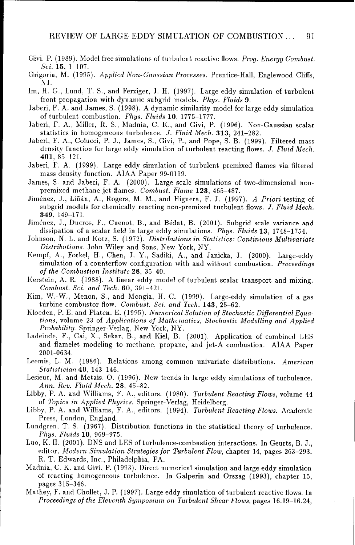- Givi, P. (1989). Model free simulations of turbulent reactive flows. *Prog. Energy Combust. Sci.* 15, 1-107.
- Grigoriu, M. (1995). *Applied Non-Gaussian Processes.* Prentice-Hall, Englewood Cliffs, NJ.
- Im, H. **G.,** Lund, T. S., and Ferziger, J. H. (1997). Large eddy simulation of turbulent front propagation with dynamic subgrid models. *Phys. Fluids* 9.
- Jaberi, F. A. and James, **S.** (1998). A dynamic similarity model for large eddy simulation of turbulent combustion. *Phys. Fluids* 10, 1775-1777.
- Jaberi, F. A., Miller, R. S., Madnia, C. K., and Givi, P. (1996). Non-Gaussian scalar statistics in homogeneous turbulence. *J. Fluid Mech.* **313,** 241-282.
- Jaberi, F. A., Colucci, P. J., James, S., Givi, P., and Pope, S. B. (1999). Filtered mass density function for large eddy simulation of turbulent reacting flows. *J. Fluid Mech.* 401, 85-121.
- Jaberi, F. A. (1999). Large eddy simulation of turbulent premixed flames via filtered mass density function. AIAA Paper 99-0199.
- James, S. and Jaberi, F. A. (2000). Large scale simulations of two-dimensional non- premixed methane jet flames. *Combust.* Flame 123, 465-487.
- Jiménez, J., Liñán, A., Rogers, M. M., and Higuera, F. J. (1997). *A Priori* testing of subgrid models for chemically reacting non-premixed turbulent flows. *J. Fluid Mech.* 349, 149-171.
- Jiménez, J., Ducros, F., Cuenot, B., and Bédat, B. (2001). Subgrid scale variance and dissipation of a scalar field in large eddy simulations. *Phys. Fluids* 13, 1748-1754.
- Johnson, N. L. and Kotz, S. (1972). *Distributions in Statistics:* Continious *Multivariate Distributions.* John Wiley and Sons, New York, NY.
- Kempf, A., Forkel, H., Chen, J. Y., Sadiki, A., and Janicka, J. (2000). Large-eddy simulation of a counterflow configuration with and without combustion. *Proceedings of the Combustion Institute* 28, 35-40.
- Kerstein, A. R. (1988). A linear eddy model of turbulent scalar transport and mixing. *Combust. Sci. and Tech.* 60, 391-421.
- Kim, W.-W., Menon, S., and Mongia, H. C. (1999). Large-eddy simulation of a gas turbine combustor flow. *Combust. Sci. and Tech.* 143, 25-62.
- Kloeden, P. E. and Platen, E. (1995). *Numerical Solution of Stochastic Differential Equa*tions, volume 23 of *Applications of Mathematics, Stochastic Modelling and Applied* Probability. Springer-Verlag, New York, NY.
- Ladeinde, F., Cai, X., Sekar, B., and Kiel, B. (2001). Application of combined LES and flamelet modeling to methane, propane, and jet-A combustion. AIAA Paper 2001-0634.
- Leemis, L. M. (1986). Relations among common univariate distributions. American *Statistician* 40, 143-146.
- Lesieur, M. and Metais, **0.** (1996). New trends in large eddy simulations of turbulence. Ann. *Rev. Fluid Mech.* 28, 45-82.
- Libby, P. A. and Williams, F. A., editors. (1980). Turbulent *Reacting Flows,* volume 44 of *Topics in Applied Physics.* Springer-Verlag, Heidelberg.
- Libby, P. A. and Williams, F. A., editors. (1994). Turbulent *Reacting Flows.* Academic Press, London, England.
- Lundgren, T. **S.** (1967). Distribution functions in the statistical theory of turbulence. *Phys. Fluids* 10, 969-975.
- Luo, K. H. (2001). DNS and LES of turbulence-combustion interactions. In Geurts, B. J., editor, *Modern Simulation Strategies for Turbulent* Flow, chapter 14, pages 263-293. R. T. Edwards, Inc., Philadelphia, PA.
- Madnia, C. K. and Givi, P. (1993). Direct numerical simulation and large eddy simulation of reacting homogeneous turbulence. In Galperin and Orszag (1993), chapter 15, pages 315-346.
- Mathey, F. and Chollet, J. P. (1997). Large eddy simulation of turbulent reactive flows. In *Proceedings of the Eleventh Symposium on Turbulent Shear Flows,* pages 16.19-16.24,